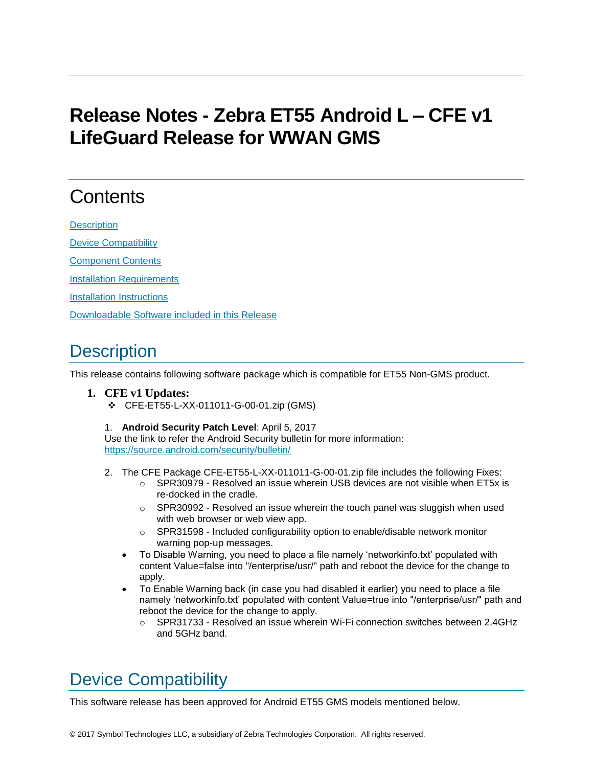## **Release Notes - Zebra ET55 Android L – CFE v1 LifeGuard Release for WWAN GMS**

# **Contents**

**[Description](#page-0-0)** 

[Device Compatibility](#page-0-1)

[Component Contents](#page-1-0)

[Installation Requirements](#page-1-1)

[Installation Instructions](#page-1-2)

[Downloadable Software included in this Release](#page-2-0)

#### <span id="page-0-0"></span>**Description**

This release contains following software package which is compatible for ET55 Non-GMS product.

#### **1. CFE v1 Updates:**

- CFE-ET55-L-XX-011011-G-00-01.zip (GMS)
- 1. **Android Security Patch Level**: April 5, 2017

Use the link to refer the Android Security bulletin for more information: <https://source.android.com/security/bulletin/>

- 2. The CFE Package CFE-ET55-L-XX-011011-G-00-01.zip file includes the following Fixes:
	- $\circ$  SPR30979 Resolved an issue wherein USB devices are not visible when ET5x is re-docked in the cradle.
	- o SPR30992 Resolved an issue wherein the touch panel was sluggish when used with web browser or web view app.
	- $\circ$  SPR31598 Included configurability option to enable/disable network monitor warning pop-up messages.
	- To Disable Warning, you need to place a file namely 'networkinfo.txt' populated with content Value=false into "/enterprise/usr/" path and reboot the device for the change to apply.
	- To Enable Warning back (in case you had disabled it earlier) you need to place a file namely 'networkinfo.txt' populated with content Value=true into "/enterprise/usr/" path and reboot the device for the change to apply.
		- o SPR31733 Resolved an issue wherein Wi-Fi connection switches between 2.4GHz and 5GHz band.

### <span id="page-0-1"></span>Device Compatibility

This software release has been approved for Android ET55 GMS models mentioned below.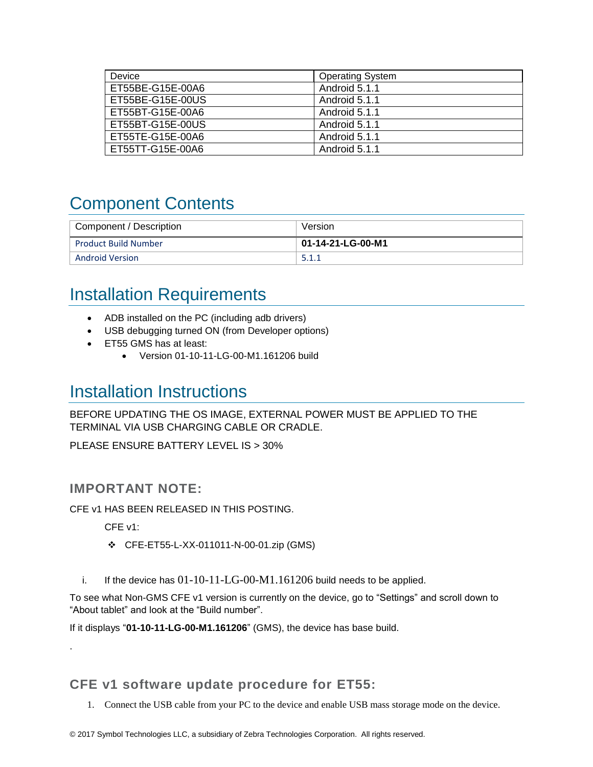| Device           | <b>Operating System</b> |
|------------------|-------------------------|
| ET55BE-G15E-00A6 | Android 5.1.1           |
| ET55BE-G15E-00US | Android 5.1.1           |
| ET55BT-G15E-00A6 | Android 5.1.1           |
| ET55BT-G15E-00US | Android 5.1.1           |
| ET55TE-G15E-00A6 | Android 5.1.1           |
| ET55TT-G15E-00A6 | Android 5.1.1           |

## <span id="page-1-0"></span>Component Contents

| <sup>1</sup> Component / Description | Version           |
|--------------------------------------|-------------------|
| <b>Product Build Number</b>          | 01-14-21-LG-00-M1 |
| <b>Android Version</b>               | 5.1.1             |

#### <span id="page-1-1"></span>Installation Requirements

- ADB installed on the PC (including adb drivers)
- USB debugging turned ON (from Developer options)
- ET55 GMS has at least:
	- Version 01-10-11-LG-00-M1.161206 build

#### <span id="page-1-2"></span>Installation Instructions

BEFORE UPDATING THE OS IMAGE, EXTERNAL POWER MUST BE APPLIED TO THE TERMINAL VIA USB CHARGING CABLE OR CRADLE.

PLEASE ENSURE BATTERY LEVEL IS > 30%

#### IMPORTANT NOTE:

CFE v1 HAS BEEN RELEASED IN THIS POSTING.

CFE v1:

.

- CFE-ET55-L-XX-011011-N-00-01.zip (GMS)
- i. If the device has  $01-10-11-LG-00-M1.161206$  build needs to be applied.

To see what Non-GMS CFE v1 version is currently on the device, go to "Settings" and scroll down to "About tablet" and look at the "Build number".

If it displays "**01-10-11-LG-00-M1.161206**" (GMS), the device has base build.

CFE v1 software update procedure for ET55:

1. Connect the USB cable from your PC to the device and enable USB mass storage mode on the device.